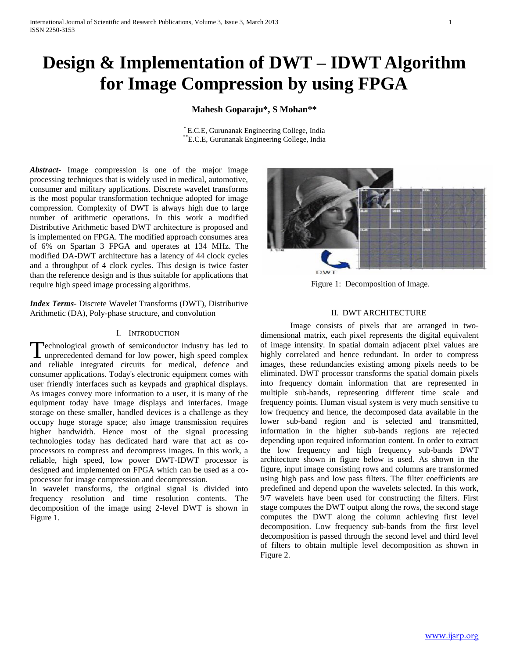# **Design & Implementation of DWT – IDWT Algorithm for Image Compression by using FPGA**

# **Mahesh Goparaju\*, S Mohan\*\***

\* E.C.E, Gurunanak Engineering College, India \*\*E.C.E, Gurunanak Engineering College, India

*Abstract***-** Image compression is one of the major image processing techniques that is widely used in medical, automotive, consumer and military applications. Discrete wavelet transforms is the most popular transformation technique adopted for image compression. Complexity of DWT is always high due to large number of arithmetic operations. In this work a modified Distributive Arithmetic based DWT architecture is proposed and is implemented on FPGA. The modified approach consumes area of 6% on Spartan 3 FPGA and operates at 134 MHz. The modified DA-DWT architecture has a latency of 44 clock cycles and a throughput of 4 clock cycles. This design is twice faster than the reference design and is thus suitable for applications that require high speed image processing algorithms.

*Index Terms*- Discrete Wavelet Transforms (DWT), Distributive Arithmetic (DA), Poly-phase structure, and convolution

#### I. INTRODUCTION

echnological growth of semiconductor industry has led to Technological growth of semiconductor industry has led to unprecedented demand for low power, high speed complex and reliable integrated circuits for medical, defence and consumer applications. Today's electronic equipment comes with user friendly interfaces such as keypads and graphical displays. As images convey more information to a user, it is many of the equipment today have image displays and interfaces. Image storage on these smaller, handled devices is a challenge as they occupy huge storage space; also image transmission requires higher bandwidth. Hence most of the signal processing technologies today has dedicated hard ware that act as coprocessors to compress and decompress images. In this work, a reliable, high speed, low power DWT-IDWT processor is designed and implemented on FPGA which can be used as a coprocessor for image compression and decompression.

In wavelet transforms, the original signal is divided into frequency resolution and time resolution contents. The decomposition of the image using 2-level DWT is shown in Figure 1.



Figure 1: Decomposition of Image.

### II. DWT ARCHITECTURE

Image consists of pixels that are arranged in twodimensional matrix, each pixel represents the digital equivalent of image intensity. In spatial domain adjacent pixel values are highly correlated and hence redundant. In order to compress images, these redundancies existing among pixels needs to be eliminated. DWT processor transforms the spatial domain pixels into frequency domain information that are represented in multiple sub-bands, representing different time scale and frequency points. Human visual system is very much sensitive to low frequency and hence, the decomposed data available in the lower sub-band region and is selected and transmitted, information in the higher sub-bands regions are rejected depending upon required information content. In order to extract the low frequency and high frequency sub-bands DWT architecture shown in figure below is used. As shown in the figure, input image consisting rows and columns are transformed using high pass and low pass filters. The filter coefficients are predefined and depend upon the wavelets selected. In this work, 9/7 wavelets have been used for constructing the filters. First stage computes the DWT output along the rows, the second stage computes the DWT along the column achieving first level decomposition. Low frequency sub-bands from the first level decomposition is passed through the second level and third level of filters to obtain multiple level decomposition as shown in Figure 2.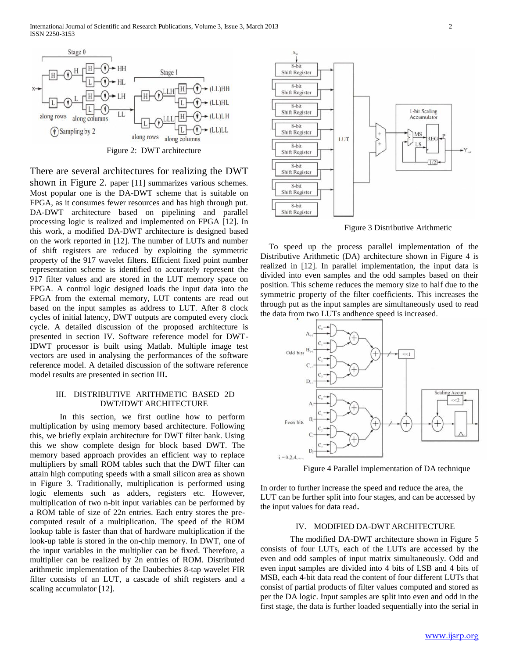

There are several architectures for realizing the DWT shown in Figure 2. paper [11] summarizes various schemes. Most popular one is the DA-DWT scheme that is suitable on FPGA, as it consumes fewer resources and has high through put. DA-DWT architecture based on pipelining and parallel processing logic is realized and implemented on FPGA [12]. In this work, a modified DA-DWT architecture is designed based on the work reported in [12]. The number of LUTs and number of shift registers are reduced by exploiting the symmetric property of the 917 wavelet filters. Efficient fixed point number representation scheme is identified to accurately represent the 917 filter values and are stored in the LUT memory space on FPGA. A control logic designed loads the input data into the FPGA from the external memory, LUT contents are read out based on the input samples as address to LUT. After 8 clock cycles of initial latency, DWT outputs are computed every clock cycle. A detailed discussion of the proposed architecture is presented in section IV. Software reference model for DWT-IDWT processor is built using Matlab. Multiple image test vectors are used in analysing the performances of the software reference model. A detailed discussion of the software reference model results are presented in section III**.**

# III. DISTRIBUTIVE ARITHMETIC BASED 2D DWT/IDWT ARCHITECTURE

In this section, we first outline how to perform multiplication by using memory based architecture. Following this, we briefly explain architecture for DWT filter bank. Using this we show complete design for block based DWT. The memory based approach provides an efficient way to replace multipliers by small ROM tables such that the DWT filter can attain high computing speeds with a small silicon area as shown in Figure 3. Traditionally, multiplication is performed using logic elements such as adders, registers etc. However, multiplication of two n-bit input variables can be performed by a ROM table of size of 22n entries. Each entry stores the precomputed result of a multiplication. The speed of the ROM lookup table is faster than that of hardware multiplication if the look-up table is stored in the on-chip memory. In DWT, one of the input variables in the multiplier can be fixed. Therefore, a multiplier can be realized by 2n entries of ROM. Distributed arithmetic implementation of the Daubechies 8-tap wavelet FIR filter consists of an LUT, a cascade of shift registers and a scaling accumulator [12].



Figure 3 Distributive Arithmetic

To speed up the process parallel implementation of the Distributive Arithmetic (DA) architecture shown in Figure 4 is realized in [12]. In parallel implementation, the input data is divided into even samples and the odd samples based on their position. This scheme reduces the memory size to half due to the symmetric property of the filter coefficients. This increases the through put as the input samples are simultaneously used to read the data from two LUTs andhence speed is increased.



Figure 4 Parallel implementation of DA technique

In order to further increase the speed and reduce the area, the LUT can be further split into four stages, and can be accessed by the input values for data read**.**

#### IV. MODIFIED DA-DWT ARCHITECTURE

The modified DA-DWT architecture shown in Figure 5 consists of four LUTs, each of the LUTs are accessed by the even and odd samples of input matrix simultaneously. Odd and even input samples are divided into 4 bits of LSB and 4 bits of MSB, each 4-bit data read the content of four different LUTs that consist of partial products of filter values computed and stored as per the DA logic. Input samples are split into even and odd in the first stage, the data is further loaded sequentially into the serial in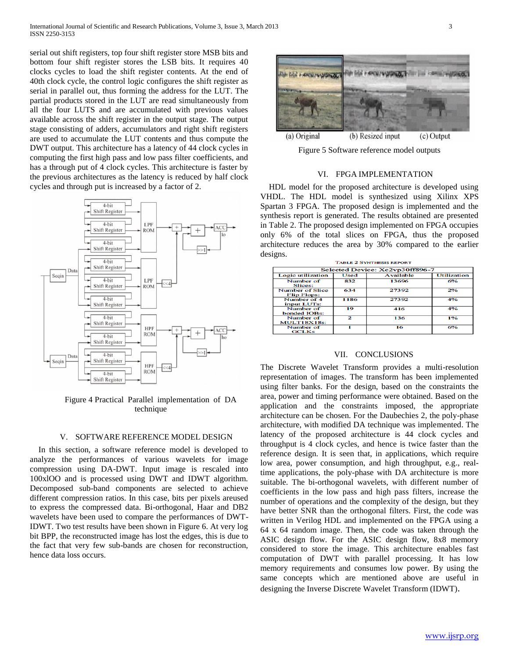serial out shift registers, top four shift register store MSB bits and bottom four shift register stores the LSB bits. It requires 40 clocks cycles to load the shift register contents. At the end of 40th clock cycle, the control logic configures the shift register as serial in parallel out, thus forming the address for the LUT. The partial products stored in the LUT are read simultaneously from all the four LUTS and are accumulated with previous values available across the shift register in the output stage. The output stage consisting of adders, accumulators and right shift registers are used to accumulate the LUT contents and thus compute the DWT output. This architecture has a latency of 44 clock cycles in computing the first high pass and low pass filter coefficients, and has a through put of 4 clock cycles. This architecture is faster by the previous architectures as the latency is reduced by half clock cycles and through put is increased by a factor of 2.



Figure 4 Practical Parallel implementation of DA technique

#### V. SOFTWARE REFERENCE MODEL DESIGN

In this section, a software reference model is developed to analyze the performances of various wavelets for image compression using DA-DWT. Input image is rescaled into 100xlOO and is processed using DWT and IDWT algorithm. Decomposed sub-band components are selected to achieve different compression ratios. In this case, bits per pixels areused to express the compressed data. Bi-orthogonal, Haar and DB2 wavelets have been used to compare the performances of DWT-IDWT. Two test results have been shown in Figure 6. At very log bit BPP, the reconstructed image has lost the edges, this is due to the fact that very few sub-bands are chosen for reconstruction, hence data loss occurs.





Figure 5 Software reference model outputs

#### VI. FPGA IMPLEMENTATION

HDL model for the proposed architecture is developed using VHDL. The HDL model is synthesized using Xilinx XPS Spartan 3 FPGA. The proposed design is implemented and the synthesis report is generated. The results obtained are presented in Table 2. The proposed design implemented on FPGA occupies only 6% of the total slices on FPGA, thus the proposed architecture reduces the area by 30% compared to the earlier designs.

| <b>TABLE 2 SYNTHESIS REPORT</b>       |                |                  |                    |
|---------------------------------------|----------------|------------------|--------------------|
| Selected Device: Xc2vp30ff896-7       |                |                  |                    |
| Logic utilization                     | Used           | <b>Available</b> | <b>Utilization</b> |
| Number of<br>Slices:                  | 832            | 13696            | 6%                 |
| <b>Number of Slice</b><br>Flip Flops: | 634            | 27392            | 2%                 |
| Number of 4<br>input LUTs:            | 1186           | 27392            | 4%                 |
| Number of<br>bonded IOBs:             | 19             | 416              | 4%                 |
| Number of<br><b>MULT18X18s:</b>       | $\overline{2}$ | 136              | 1%                 |
| Number of<br><b>GCLKs</b>             |                | 16               | 6%                 |

#### VII. CONCLUSIONS

The Discrete Wavelet Transform provides a multi-resolution representation of images. The transform has been implemented using filter banks. For the design, based on the constraints the area, power and timing performance were obtained. Based on the application and the constraints imposed, the appropriate architecture can be chosen. For the Daubechies 2, the poly-phase architecture, with modified DA technique was implemented. The latency of the proposed architecture is 44 clock cycles and throughput is 4 clock cycles, and hence is twice faster than the reference design. It is seen that, in applications, which require low area, power consumption, and high throughput, e.g., realtime applications, the poly-phase with DA architecture is more suitable. The bi-orthogonal wavelets, with different number of coefficients in the low pass and high pass filters, increase the number of operations and the complexity of the design, but they have better SNR than the orthogonal filters. First, the code was written in Verilog HDL and implemented on the FPGA using a 64 x 64 random image. Then, the code was taken through the ASIC design flow. For the ASIC design flow, 8x8 memory considered to store the image. This architecture enables fast computation of DWT with parallel processing. It has low memory requirements and consumes low power. By using the same concepts which are mentioned above are useful in designing the Inverse Discrete Wavelet Transform (IDWT).